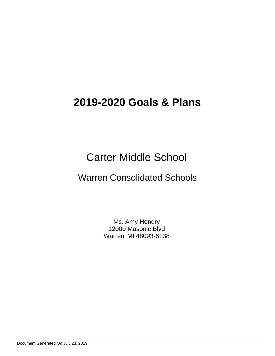# Carter Middle School

# Warren Consolidated Schools

Ms. Amy Hendry 12000 Masonic Blvd Warren, MI 48093-6138

Document Generated On July 23, 2019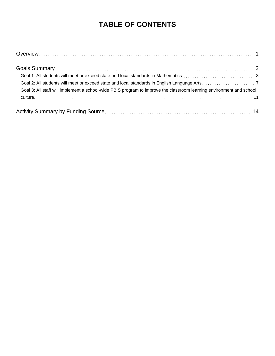# **TABLE OF CONTENTS**

| Goal 3: All staff will implement a school-wide PBIS program to improve the classroom learning environment and school |  |
|----------------------------------------------------------------------------------------------------------------------|--|
|                                                                                                                      |  |
|                                                                                                                      |  |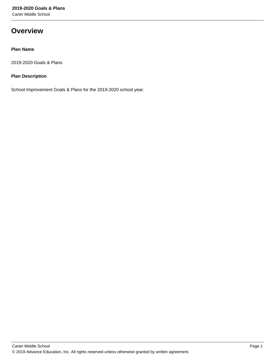Carter Middle School

# **Overview**

# **Plan Name**

2019-2020 Goals & Plans

# **Plan Description**

School Improvement Goals & Plans for the 2019-2020 school year.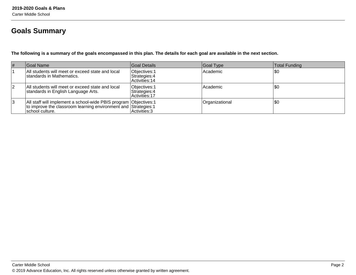# **Goals Summary**

**The following is a summary of the goals encompassed in this plan. The details for each goal are available in the next section.**

| #  | Goal Name                                                                                                                                               | Goal Details                                     | Goal Type      | Total Funding |
|----|---------------------------------------------------------------------------------------------------------------------------------------------------------|--------------------------------------------------|----------------|---------------|
|    | All students will meet or exceed state and local<br>Istandards in Mathematics.                                                                          | Objectives: 1<br>Strategies: 4<br>Activities: 14 | Academic       | \$0           |
| 12 | All students will meet or exceed state and local<br>standards in English Language Arts.                                                                 | Objectives: 1<br>Strategies: 4<br>Activities: 17 | Academic       | \$0           |
| 13 | All staff will implement a school-wide PBIS program Objectives: 1<br>to improve the classroom learning environment and Strategies: 1<br>school culture. | Activities: 3                                    | Organizational | \$0           |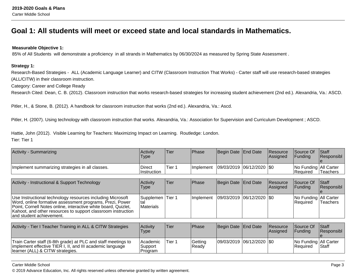# **Goal 1: All students will meet or exceed state and local standards in Mathematics.**

### **Measurable Objective 1:**

85% of All Students will demonstrate a proficiency in all strands in Mathematics by 06/30/2024 as measured by Spring State Assessment .

#### **Strategy 1:**

Research-Based Strategies - ALL (Academic Language Learner) and CITW (Classroom Instruction That Works) - Carter staff will use research-based strategies(ALL/CITW) in their classroom instruction.

Category: Career and College Ready

Research Cited: Dean, C. B. (2012). Classroom instruction that works research-based strategies for increasing student achievement (2nd ed.). Alexandria, Va.: ASCD.

Pitler, H., & Stone, B. (2012). A handbook for classroom instruction that works (2nd ed.). Alexandria, Va.: Ascd.

Pitler, H. (2007). Using technology with classroom instruction that works. Alexandria, Va.: Association for Supervision and Curriculum Development ; ASCD.

Hattie, John (2012). Visible Learning for Teachers: Maximizing Impact on Learning. Routledge: London.Tier: Tier 1

| Activity - Summarizing                           | Activity<br><b>Type</b>       | Tier   | <b>IPhase</b> | Begin Date End Date         | <b>Resource</b><br><b>Assigned</b> | Source Of<br><b>IFunding</b>              | $\vert$ Staff<br><b>Responsibl</b> |
|--------------------------------------------------|-------------------------------|--------|---------------|-----------------------------|------------------------------------|-------------------------------------------|------------------------------------|
| Implement summarizing strategies in all classes. | <b>Direct</b><br>⊺Instruction | Tier 1 | I Implement   | 09/03/2019  06/12/2020  \$0 |                                    | No Funding All Carter<br><b>IRequired</b> | 'Teachers                          |

| Activity - Instructional & Support Technology                                                                                                                                                                                                                                         | Activitv<br>Type                       | Tier | <b>IPhase</b>     | Begin Date End Date         | Resource<br><b>Assigned</b> | <b>Source Of</b><br><b>IFunding</b>        | <b>Staff</b><br>Responsibl |
|---------------------------------------------------------------------------------------------------------------------------------------------------------------------------------------------------------------------------------------------------------------------------------------|----------------------------------------|------|-------------------|-----------------------------|-----------------------------|--------------------------------------------|----------------------------|
| Use Instructional technology resources including Microsoft<br>Word, online formative assessment programs, Prezi, Power<br>Point, Cornell Notes online, interactive white board, Quizlet,<br>Kahoot, and other resources to support classroom instruction<br>land student achievement. | Supplemen  Tier 1<br>ltal<br>Materials |      | <b>Ilmplement</b> | 09/03/2019  06/12/2020  \$0 |                             | No Funding   All Carter<br><b>Required</b> | <b>Teachers</b>            |

| Activity - Tier I Teacher Training in ALL & CITW Strategies                                                                                                    | Activity<br>Type                             | 'Tier  | <b>Phase</b>     | Begin Date End Date         | <b>Resource</b><br><b>Assigned</b> | Source Of<br>IFundina               | <b>Staff</b><br><b>Responsibl</b> |
|----------------------------------------------------------------------------------------------------------------------------------------------------------------|----------------------------------------------|--------|------------------|-----------------------------|------------------------------------|-------------------------------------|-----------------------------------|
| Train Carter staff (6-8th grade) at PLC and staff meetings to<br>implement effective TIER I, II, and III academic language<br>learner (ALL) & CITW strategies. | <b>Academic</b><br>Support<br><b>Program</b> | Tier 1 | Getting<br>Readv | 09/03/2019  06/12/2020  \$0 |                                    | No Funding All Carter<br>l Reauired | <b>Staff</b>                      |

#### Carter Middle School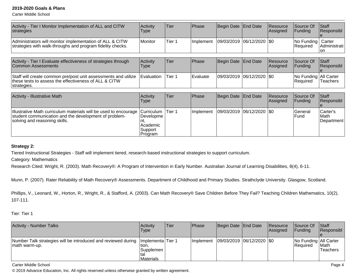Carter Middle School

| Activity - Tier I Monitor Implementation of ALL and CITW<br>strategies                                                                                     | Activity<br>Type                                                   | Tier              | Phase        | Begin Date | <b>End Date</b> | Resource<br> Assigned | Source Of<br>Funding              | <b>Staff</b><br>Responsibl       |
|------------------------------------------------------------------------------------------------------------------------------------------------------------|--------------------------------------------------------------------|-------------------|--------------|------------|-----------------|-----------------------|-----------------------------------|----------------------------------|
| Administrators will monitor implementation of ALL & CITW<br>strategies with walk-throughs and program fidelity checks.                                     | Monitor                                                            | Tier <sub>1</sub> | Implement    | 09/03/2019 | 06/12/2020      | I\$0                  | No Funding<br>Required            | Carter<br>Administrati<br>on     |
| Activity - Tier I Evaluate effectiveness of strategies through<br>Common Assessments                                                                       | Activity<br><b>Type</b>                                            | Tier              | <b>Phase</b> | Begin Date | <b>End Date</b> | Resource<br> Assigned | Source Of<br>Funding              | <b>Staff</b><br>Responsibl       |
| Staff will create common pre/post unit assessments and utilize<br>these tests to assess the effectiveness of ALL & CITW<br>strategies.                     | Evaluation                                                         | Tier <sub>1</sub> | Evaluate     | 09/03/2019 | 06/12/2020      | 1\$0                  | No Funding All Carter<br>Required | Teachers                         |
| <b>Activity - Illustrative Math</b>                                                                                                                        | Activity<br><b>Type</b>                                            | Tier              | Phase        | Begin Date | <b>End Date</b> | Resource<br>Assigned  | Source Of<br>Funding              | <b>Staff</b><br>Responsibl       |
| Illustrative Math curriculum materials will be used to encourage<br>student communication and the development of problem-<br>solving and reasoning skills. | Curriculum<br>Developme<br>Int.<br>Academic<br> Support<br>Program | Tier <sub>1</sub> | Implement    | 09/03/2019 | 06/12/2020      | <b>SO</b>             | <b>General</b><br>Fund            | Carter's<br>lMath.<br>Department |

# **Strategy 2:**

Tiered Instructional Strategies - Staff will implement tiered, research-based instructional strategies to support curriculum.

Category: Mathematics

Research Cited: Wright, R. (2003). Math Recovery®: A Program of Intervention in Early Number. Australian Journal of Learning Disabilities, 8(4), 6-11.

Munn, P. (2007). Rater Reliability of Math Recovery® Assessments. Department of Childhood and Primary Studies. Strathclyde University. Glasgow, Scotland.

Phillips, V., Leonard, W., Horton, R., Wright, R., & Stafford, A. (2003). Can Math Recovery® Save Children Before They Fail? Teaching Children Mathematics, 10(2),107-111.

# Tier: Tier 1

| <b>Activity - Number Talks</b>                                                                     | Activity<br><b>Type</b>                   | Tier | <b>IPhase</b> | Begin Date   End Date       | Resource<br><b>Assigned</b> | Source Of<br><b>Funding</b>                | <b>Staff</b><br>Responsibl |
|----------------------------------------------------------------------------------------------------|-------------------------------------------|------|---------------|-----------------------------|-----------------------------|--------------------------------------------|----------------------------|
| Number Talk strategies will be introduced and reviewed during  Implementa Tier 1<br> math warm-up. | 'tion.<br> Supplemen <br><b>Materials</b> |      | Ilmplement    | 09/03/2019  06/12/2020  \$0 |                             | No Funding   All Carter<br><b>Required</b> | <b>IMath</b><br>Teachers   |

Carter Middle School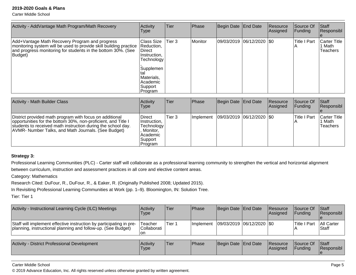Carter Middle School

| Activity - AddVantage Math Program/Math Recovery                                                                                                                                               | <b>Activity</b><br><b>Type</b>                                                                                                   | Tier              | Phase   | Begin Date End Date         | <b>Resource</b><br>Assigned | <b>Source Of</b><br>Funding | Staff<br>Responsibl                  |
|------------------------------------------------------------------------------------------------------------------------------------------------------------------------------------------------|----------------------------------------------------------------------------------------------------------------------------------|-------------------|---------|-----------------------------|-----------------------------|-----------------------------|--------------------------------------|
| Add+Vantage Math Recovery Program and progress<br>monitoring system will be used to provide skill building practice<br>and progress monitoring for students in the bottom 30%. (See<br>Budget) | Class Size<br>Reduction,<br>∣Direct<br>Instruction,<br>Technology<br> Supplemen<br>Materials,<br>Academic<br> Support<br>Program | Tier <sub>3</sub> | Monitor | 09/03/2019  06/12/2020  \$0 |                             | <b>Title I Part</b><br>IА   | Carter Title  <br>1 Math<br>Teachers |

| Activity - Math Builder Class                                                                                                                                                                                                                   | Activity<br>Type                                                                             | lTier.  | Phase             | Begin Date End Date           | Resource<br>Assigned | Source Of<br> Funding | <b>Staff</b><br>Responsibl                |
|-------------------------------------------------------------------------------------------------------------------------------------------------------------------------------------------------------------------------------------------------|----------------------------------------------------------------------------------------------|---------|-------------------|-------------------------------|----------------------|-----------------------|-------------------------------------------|
| District provided math program with focus on additional<br>opportunities for the bottom 30%, non-proficient, and Title I<br>students to received math instruction during the school day.<br>AVMR- Number Talks, and Math Journals. (See Budget) | <b>Direct</b><br>Instruction,<br>Technology<br>Monitor.<br> Academic <br> Support<br>Program | lTier 3 | <b>Ilmplement</b> | $ 09/03/2019 06/12/2020 $ \$0 |                      | lTitle I Part         | <b>Carter Title</b><br>∣ Math<br>Teachers |

## **Strategy 3:**

Professional Learning Communities (PLC) - Carter staff will collaborate as a professional learning community to strengthen the vertical and horizontal alignmentbetween curriculum, instruction and assessment practices in all core and elective content areas.

Category: Mathematics

Research Cited: DuFour, R., DuFour, R., & Eaker, R. (Originally Published 2008; Updated 2015).

In Revisiting Professional Learning Communities at Work (pp. 1–9). Bloomington, IN: Solution Tree.

Tier: Tier 1

| Activity - Instructional Learning Cycle (ILC) Meetings                                                                              | <b>Activity</b><br>Type       | 'Tier  | <b>Phase</b> | Begin Date End Date     | Resource<br><b>Assigned</b> | <b>Source Of</b><br><b>IFundina</b> | <b>Staff</b><br><b>Responsibl</b> |
|-------------------------------------------------------------------------------------------------------------------------------------|-------------------------------|--------|--------------|-------------------------|-----------------------------|-------------------------------------|-----------------------------------|
| Staff will implement effective instruction by participating in pre-<br>planning, instructional planning and follow-up. (See Budget) | Teacher<br>Collaborati<br>lon | Tier 1 | Ilmplement   | 09/03/2019 06/12/2020 0 |                             | <b>Title I Part</b>                 | <b>All Carter</b><br>lStaff       |

| Activity<br>- District Professional Development | <b>Activity</b><br><b>Type</b> | Tier | <b>Phase</b> | Begin Date End Date |  | <b>Resource</b><br><b>IAssigned</b> | Source Of<br><b>Funding</b> | Staff<br>Responsibl |
|-------------------------------------------------|--------------------------------|------|--------------|---------------------|--|-------------------------------------|-----------------------------|---------------------|
|-------------------------------------------------|--------------------------------|------|--------------|---------------------|--|-------------------------------------|-----------------------------|---------------------|

#### Carter Middle School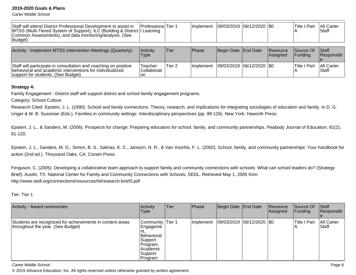Carter Middle School

| Staff will attend District Professional Development to assist in<br>MTSS (Multi-Tiered System of Support), ILC (Building & District   Learning<br>Common Assessments), and data monitoring/analysis. (See<br>Budget) | Professiona Tier 1       |        | Implement        | 09/03/2019 06/12/2020 \$0     |                                    | lTitle I Part         | <b>All Carter</b><br><b>Staff</b> |
|----------------------------------------------------------------------------------------------------------------------------------------------------------------------------------------------------------------------|--------------------------|--------|------------------|-------------------------------|------------------------------------|-----------------------|-----------------------------------|
| Activity - Implement MTSS Intervention Meetings (Quarterly)                                                                                                                                                          | Activity<br><b>Type</b>  | ∣Tier  | <b>IPhase</b>    | Begin Date   End Date         | <b>Resource</b><br><b>Assigned</b> | Source Of<br>IFundina | Staff<br><b>Responsibl</b>        |
| Staff will participate in consultation and coaching on positive<br>behavioral and academic interventions for individualized                                                                                          | Teacher<br>l Collaborati | Tier 2 | <b>Implement</b> | $ 09/03/2019 06/12/2020 $ \$0 |                                    | <b>Title I Part</b>   | <b>All Carter</b><br><b>Staff</b> |

#### **Strategy 4:**

Family Engagement - District staff will support district and school family engagement programs.

Category: School Culture

support for students. (See Budget)

Research Cited: Epstein, J. L. (1990). School and family connections: Theory, research, and implications for integrating sociologies of education and family. In D. G. Unger & M. B. Sussman (Eds.), Families in community settings: Interdisciplinary perspectives (pp. 99-126). New York: Haworth Press.

on

Epstein, J. L., & Sanders, M. (2006). Prospects for change: Preparing educators for school, family, and community partnerships. Peabody Journal of Education, 81(2),81-120.

Epstein, J. L., Sanders, M. G., Simon, B. S., Salinas, K. C., Jansorn, N. R., & Van Voorhis, F. L. (2002). School, family, and community partnerships: Your handbook foraction (2nd ed.). Thousand Oaks, CA: Corwin Press.

Ferguson, C. (2005). Developing a collaborative team approach to support family and community connections with schools: What can school leaders do? (StrategyBrief). Austin, TX: National Center for Family and Community Connections with Schools, SEDL. Retrieved May 1, 2005 fromhttp://www.sedl.org/connections/resources/rb/research-brief3.pdf

Tier: Tier 1

| Activity - Award ceremonies                                                                    | Activity<br><b>Type</b>                                                                                        | <b>Tier</b> | Phase     | Begin Date End Date           | Resource<br>Assigned | Source Of<br> Funding | Staff<br>Responsibl         |
|------------------------------------------------------------------------------------------------|----------------------------------------------------------------------------------------------------------------|-------------|-----------|-------------------------------|----------------------|-----------------------|-----------------------------|
| Students are recognized for achievements in content areas<br>throughout the year. (See Budget) | Community   Tier 1<br>Engageme<br><b>Behavioral</b><br>Support<br>Program,<br>l Academic<br>Support<br>Program |             | Implement | $ 09/03/2019 06/12/2020 $ \$0 |                      | <b>Title I Part</b>   | <b>All Carter</b><br>IStaff |

Carter Middle School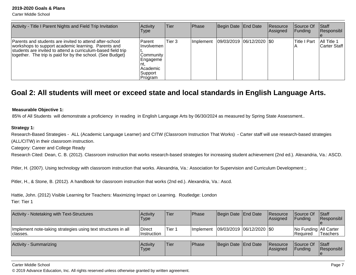Carter Middle School

| Activity - Title I Parent Nights and Field Trip Invitation                                                                                                                                                                                   | Activity<br><b>Type</b>                                                                     | lTier. | Phase      | Begin Date   End Date         | Resource<br>Assigned | <b>Source Of</b><br> Funding | Staff<br>Responsibl         |
|----------------------------------------------------------------------------------------------------------------------------------------------------------------------------------------------------------------------------------------------|---------------------------------------------------------------------------------------------|--------|------------|-------------------------------|----------------------|------------------------------|-----------------------------|
| Parents and students are invited to attend after-school<br>workshops to support academic learning. Parents and<br>students are invited to attend a curriculum-based field trip<br>together. The trip is paid for by the school. (See Budget) | <b>Parent</b><br>Involvemen<br> Community_<br> Engageme<br>Academic<br> Support<br> Program | Tier 3 | Ilmplement | $ 09/03/2019 06/12/2020 $ \$0 |                      | <b>Title I Part</b>          | All Title 1<br>Carter Staff |

# **Goal 2: All students will meet or exceed state and local standards in English Language Arts.**

#### **Measurable Objective 1:**

85% of All Students will demonstrate a proficiency in reading in English Language Arts by 06/30/2024 as measured by Spring State Assessment..

#### **Strategy 1:**

Research-Based Strategies - ALL (Academic Language Learner) and CITW (Classroom Instruction That Works) - Carter staff will use research-based strategies(ALL/CITW) in their classroom instruction.

Category: Career and College Ready

Research Cited: Dean, C. B. (2012). Classroom instruction that works research-based strategies for increasing student achievement (2nd ed.). Alexandria, Va.: ASCD.

Pitler, H. (2007). Using technology with classroom instruction that works. Alexandria, Va.: Association for Supervision and Curriculum Development ;.

Pitler, H., & Stone, B. (2012). A handbook for classroom instruction that works (2nd ed.). Alexandria, Va.: Ascd.

Hattie, John. (2012) Visible Learning for Teachers: Maximizing Impact on Learning. Routledge: LondonTier: Tier 1

| Activity - Notetaking with Text-Structures                                 | <b>Activity</b><br>Type | lTier       | Phase             | Begin Date End Date           | Resource<br><b>Assigned</b> | Source Of<br>IFundina                      | <b>IStaff</b><br>Responsibl |
|----------------------------------------------------------------------------|-------------------------|-------------|-------------------|-------------------------------|-----------------------------|--------------------------------------------|-----------------------------|
| Implement note-taking strategies using text structures in all<br> classes. | Direct<br>Instruction   | Tier 1      | <b>Ilmplement</b> | $ 09/03/2019 06/12/2020 $ \$0 |                             | No Funding   All Carter<br><b>Required</b> | <b>Teachers</b>             |
| Activity - Summarizing                                                     | <b>Activity</b><br>Type | <b>Tier</b> | Phase             | Begin Date End Date           | <b>Resource</b><br>Assigned | Source Of<br> Funding                      | <b>Staff</b><br>Responsibl  |

Carter Middle School

© 2019 Advance Education, Inc. All rights reserved unless otherwise granted by written agreement.

e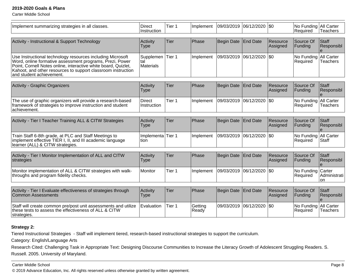Carter Middle School

| Implement summarizing strategies in all classes.                                                                                                                                                                                                                                     | <b>Direct</b><br>Instruction  | Tier 1            | Implement        | 09/03/2019        | 06/12/2020 \\$0 |                      | No Funding All Carter<br>Required   | <b>Teachers</b>          |
|--------------------------------------------------------------------------------------------------------------------------------------------------------------------------------------------------------------------------------------------------------------------------------------|-------------------------------|-------------------|------------------|-------------------|-----------------|----------------------|-------------------------------------|--------------------------|
| Activity - Instructional & Support Technology                                                                                                                                                                                                                                        | Activity<br><b>Type</b>       | Tier              | Phase            | <b>Begin Date</b> | <b>End Date</b> | Resource<br>Assigned | Source Of<br>Funding                | Staff<br>Responsibl      |
| Use Instructional technology resources including Microsoft<br>Word, online formative assessment programs, Prezi, Power<br>Point, Cornell Notes online, interactive white board, Quizlet,<br>Kahoot, and other resources to support classroom instruction<br>and student achievement. | Supplemen<br>tal<br>Materials | Tier 1            | Implement        | 09/03/2019        | 06/12/2020      | \$0                  | No Funding All Carter<br>Required   | Teachers                 |
| Activity - Graphic Organizers                                                                                                                                                                                                                                                        | Activity<br><b>Type</b>       | Tier              | Phase            | <b>Begin Date</b> | <b>End Date</b> | Resource<br>Assigned | Source Of<br>Funding                | Staff<br>Responsibl      |
| The use of graphic organizers will provide a research-based<br>framework of strategies to improve instruction and student<br>achievement.                                                                                                                                            | <b>Direct</b><br>Instruction  | Tier <sub>1</sub> | Implement        | 09/03/2019        | 06/12/2020      | \$0                  | No Funding<br>Required              | All Carter<br>Teachers   |
| Activity - Tier I Teacher Training ALL & CITW Strategies                                                                                                                                                                                                                             | Activity<br><b>Type</b>       | Tier              | Phase            | <b>Begin Date</b> | <b>End Date</b> | Resource<br>Assigned | Source Of<br>Funding                | Staff<br>Responsibl      |
| Train Staff 6-8th grade, at PLC and Staff Meetings to<br>implement effective TIER I, II, and III academic language<br>learner (ALL) & CITW strategies.                                                                                                                               | Implementa<br>tion            | Tier 1            | Implement        | 09/03/2019        | 06/12/2020      | \$0                  | No Funding All Carter<br>Required   | <b>Staff</b>             |
| Activity - Tier I Monitor Implementation of ALL and CITW<br>strategies                                                                                                                                                                                                               | Activity<br><b>Type</b>       | Tier              | Phase            | <b>Begin Date</b> | <b>End Date</b> | Resource<br>Assigned | Source Of<br> Funding               | Staff<br>Responsibl<br>e |
| Monitor implementation of ALL & CITW strategies with walk-<br>throughs and program fidelity checks.                                                                                                                                                                                  | Monitor                       | Tier 1            | Implement        | 09/03/2019        | 06/12/2020      | \$0                  | No Funding Carter<br>Required       | Administrati<br>on       |
| Activity - Tier I Evaluate effectiveness of strategies through<br>Common Assessments                                                                                                                                                                                                 | Activity<br><b>Type</b>       | Tier              | Phase            | <b>Begin Date</b> | <b>End Date</b> | Resource<br>Assigned | Source Of<br>Funding                | Staff<br>Responsibl<br>e |
| Staff will create common pre/post unit assessments and utilize<br>these tests to assess the effectiveness of ALL & CITW<br>strategies.                                                                                                                                               | Evaluation                    | Tier 1            | Getting<br>Ready | 09/03/2019        | 06/12/2020      | \$0                  | No Funding   All Carter<br>Required | Teachers                 |

# **Strategy 2:**

Tiered Instructional Strategies - Staff will implement tiered, research-based instructional strategies to support the curriculum.

Category: English/Language Arts

Research Cited: Challenging Task in Appropriate Text: Designing Discourse Communities to Increase the Literacy Growth of Adolescent Struggling Readers. S. Russell. 2005. University of Maryland.

#### Carter Middle School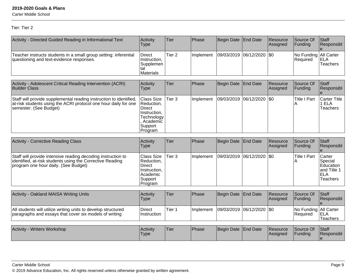Carter Middle School

# Tier: Tier 2

| Activity - Directed Guided Reading in Informational Text                                                                                                        | Activity<br>Type                                                                                   | Tier              | Phase     | Begin Date End Date |                     | Resource<br>Assigned | Source Of<br>Funding              | Staff<br>Responsibl             |
|-----------------------------------------------------------------------------------------------------------------------------------------------------------------|----------------------------------------------------------------------------------------------------|-------------------|-----------|---------------------|---------------------|----------------------|-----------------------------------|---------------------------------|
| Teacher instructs students in a small group setting: inferential<br>questioning and text-evidence responses.                                                    | Direct<br>Instruction,<br>Supplemen<br>tal<br>Materials                                            | Tier <sub>2</sub> | Implement | 09/03/2019          | $ 06/12/2020 $ \\$0 |                      | No Funding All Carter<br>Required | ELA<br>lTeachers                |
|                                                                                                                                                                 |                                                                                                    |                   |           |                     |                     |                      |                                   |                                 |
| Activity - Adolescent Critical Reading Intervention (ACRI)<br><b>Builder Class</b>                                                                              | Activity<br><b>Type</b>                                                                            | Tier              | Phase     | Begin Date          | End Date            | Resource<br>Assigned | Source Of<br>Funding              | Staff<br>Responsibl             |
| Staff will provide supplemental reading instruction to identified,<br>at-risk students using the ACRI protocol one hour daily for one<br>semester. (See Budget) | Class Size<br>Reduction,<br>Direct<br>Instruction,<br>Technology<br>Academic<br>Support<br>Program | Tier <sub>3</sub> | Implement | 09/03/2019          | $ 06/12/2020 $ \\$0 |                      | <b>Title I Part</b>               | Carter Title<br>ELA<br>Teachers |

| <b>Activity - Corrective Reading Class</b>                                                                                                                        | Activity<br>Type                                                                            | Tier              | Phase     | Begin Date End Date       |          | Resource<br>Assigned | Source Of<br> Funding                | Staff<br>Responsibl                                                                  |
|-------------------------------------------------------------------------------------------------------------------------------------------------------------------|---------------------------------------------------------------------------------------------|-------------------|-----------|---------------------------|----------|----------------------|--------------------------------------|--------------------------------------------------------------------------------------|
| Staff will provide intensive reading decoding instruction to<br>identified, at-risk students using the Corrective Reading<br>program one hour daily. (See Budget) | <b>Class Size</b><br>Reduction.<br>Direct<br>Instruction,<br>Academic<br>Support<br>Program | Tier <sub>3</sub> | Implement | 09/03/2019 06/12/2020 \$0 |          |                      | <b>Title I Part</b><br>A             | Carter<br>Special<br>Education<br>and Title $\cdot$<br><b>ELA</b><br><b>Teachers</b> |
|                                                                                                                                                                   |                                                                                             |                   |           |                           |          |                      |                                      |                                                                                      |
| <b>Activity - Oakland MAISA Writing Units</b>                                                                                                                     | Activity<br>Type                                                                            | Tier              | Phase     | Begin Date                | End Date | Resource<br>Assigned | Source Of<br>Funding                 | Staff<br>Responsibl                                                                  |
| All students will utilize writing units to develop structured<br>paragraphs and essays that cover six models of writing                                           | Direct<br>Instruction                                                                       | Tier <sub>1</sub> | Implement | 09/03/2019 06/12/2020     |          | <b>SO</b>            | No Funding   All Carter<br> Required | ELA<br><b>Teachers</b>                                                               |
|                                                                                                                                                                   |                                                                                             |                   |           |                           |          |                      |                                      |                                                                                      |
| <b>Activity - Writers Workshop</b>                                                                                                                                | Activity<br>Type                                                                            | Tier              | Phase     | Begin Date End Date       |          | Resource<br>Assigned | Source Of<br>Funding                 | Staff<br>Responsibl<br>le.                                                           |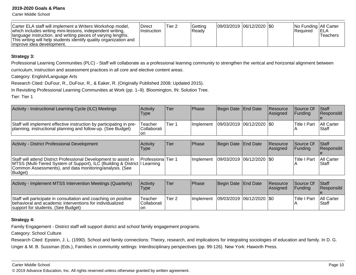Carter Middle School

| Carter ELA staff will implement a Writers Workshop model.<br>which includes writing mini-lessons, independent writing,<br>language instruction, and writing pieces of varying lengths.<br>This writing will help students identify quality organization and<br>limprove idea development. | <b>Direct</b><br>∣Instruction | <sup>1</sup> Tier 2 | lGettina<br>IReadv |  | 09/03/2019  06/12/2020  \$0 |  | INo Funding IAII Carter<br>l Reauired | <b>IELA</b><br>Teachers |
|-------------------------------------------------------------------------------------------------------------------------------------------------------------------------------------------------------------------------------------------------------------------------------------------|-------------------------------|---------------------|--------------------|--|-----------------------------|--|---------------------------------------|-------------------------|
|-------------------------------------------------------------------------------------------------------------------------------------------------------------------------------------------------------------------------------------------------------------------------------------------|-------------------------------|---------------------|--------------------|--|-----------------------------|--|---------------------------------------|-------------------------|

#### **Strategy 3:**

Professional Learning Communities (PLC) - Staff will collaborate as a professional learning community to strengthen the vertical and horizontal alignment betweencurriculum, instruction and assessment practices in all core and elective content areas.

Category: English/Language Arts

Research Cited: DuFour, R., DuFour, R., & Eaker, R. (Originally Published 2008; Updated 2015).

In Revisiting Professional Learning Communities at Work (pp. 1–9). Bloomington, IN: Solution Tree.

Tier: Tier 1

| Activity - Instructional Learning Cycle (ILC) Meetings                                                                              | Activity<br>Type                      | lTier. | <b>IPhase</b>     | Begin Date End Date         | Resource<br>lAssianed | <b>Source Of</b><br><b>IFundina</b> | <b>Staff</b><br><b>Responsibl</b> |
|-------------------------------------------------------------------------------------------------------------------------------------|---------------------------------------|--------|-------------------|-----------------------------|-----------------------|-------------------------------------|-----------------------------------|
| Staff will implement effective instruction by participating in pre-<br>planning, instructional planning and follow-up. (See Budget) | 'Teacher<br><b>Collaborati</b><br>lon | Tier 1 | <b>Ilmplement</b> | 09/03/2019  06/12/2020  \$0 |                       | <b>Title I Part</b>                 | <b>All Carter</b><br>lStaff       |

| <b>Activity - District Professional Development</b>                                                                                                                                                                  | Activitv<br>Type          | Tier | <b>IPhase</b>     | Begin Date End Date      | <b>Resource</b><br>Assigned | <b>Source Of</b><br><b>IFundina</b> | <b>Staff</b><br><b>Responsibl</b> |
|----------------------------------------------------------------------------------------------------------------------------------------------------------------------------------------------------------------------|---------------------------|------|-------------------|--------------------------|-----------------------------|-------------------------------------|-----------------------------------|
| Staff will attend District Professional Development to assist in<br>MTSS (Multi-Tiered System of Support), ILC (Building & District   Learning<br>Common Assessments), and data monitoring/analysis. (See<br>Budget) | <b>Professiona</b> Tier 1 |      | <b>Ilmplement</b> | 09/03/2019 06/12/2020 S0 |                             | Title I Part                        | All Carter<br><b>IStaff</b>       |

| Activity - Implement MTSS Intervention Meetings (Quarterly)                                                                                                       | Activity<br>'Type              | Tier   | <b>IPhase</b>    | Begin Date End Date         | <b>Resource</b><br>Assigned | <b>Source Of</b><br>IFundina | Staff<br><b>Responsibl</b>  |
|-------------------------------------------------------------------------------------------------------------------------------------------------------------------|--------------------------------|--------|------------------|-----------------------------|-----------------------------|------------------------------|-----------------------------|
| Staff will participate in consultation and coaching on positive<br>behavioral and academic interventions for individualized<br>support for students. (See Budget) | Teacher<br>lCollaborati<br>lon | Tier 2 | <b>Implement</b> | 09/03/2019  06/12/2020  \$0 |                             | <b>Title I Part</b>          | <b>All Carter</b><br>lStaff |

#### **Strategy 4:**

Family Engagement - District staff will support district and school family engagement programs.

Category: School Culture

Research Cited: Epstein, J. L. (1990). School and family connections: Theory, research, and implications for integrating sociologies of education and family. In D. G.

Unger & M. B. Sussman (Eds.), Families in community settings: Interdisciplinary perspectives (pp. 99-126). New York: Haworth Press.

#### Carter Middle School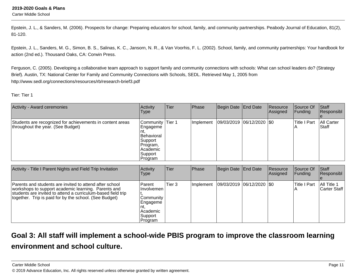Carter Middle School

Epstein, J. L., & Sanders, M. (2006). Prospects for change: Preparing educators for school, family, and community partnerships. Peabody Journal of Education, 81(2),81-120.

Epstein, J. L., Sanders, M. G., Simon, B. S., Salinas, K. C., Jansorn, N. R., & Van Voorhis, F. L. (2002). School, family, and community partnerships: Your handbook foraction (2nd ed.). Thousand Oaks, CA: Corwin Press.

Ferguson, C. (2005). Developing a collaborative team approach to support family and community connections with schools: What can school leaders do? (StrategyBrief). Austin, TX: National Center for Family and Community Connections with Schools, SEDL. Retrieved May 1, 2005 fromhttp://www.sedl.org/connections/resources/rb/research-brief3.pdf

Tier: Tier 1

| Activity - Award ceremonies                                                                    | Activity<br><b>Type</b>                                                                                          | Tier | Phase     | Begin Date End Date     | Resource<br>Assigned | Source Of<br> Funding | Staff<br>Responsibl |
|------------------------------------------------------------------------------------------------|------------------------------------------------------------------------------------------------------------------|------|-----------|-------------------------|----------------------|-----------------------|---------------------|
| Students are recognized for achievements in content areas<br>throughout the year. (See Budget) | Community Tier 1<br> Engageme<br>Int.<br>IBehavioral<br> Support<br>Program,<br> Academic<br> Support<br>Program |      | Implement | 09/03/2019 06/12/2020 0 |                      | <b>Title I Part</b>   | All Carter<br>Staff |

| Activity - Title I Parent Nights and Field Trip Invitation                                                                                                                                                                               | Activity<br><b>Type</b>                                                                   | <b>Tier</b> | <b>Phase</b> | Begin Date End Date         | <b>Resource</b><br>Assigned | Source Of<br><b>Funding</b> | Staff<br>Responsibl         |
|------------------------------------------------------------------------------------------------------------------------------------------------------------------------------------------------------------------------------------------|-------------------------------------------------------------------------------------------|-------------|--------------|-----------------------------|-----------------------------|-----------------------------|-----------------------------|
| Parents and students are invited to attend after school<br>workshops to support academic learning. Parents and<br>students are invited to attend a curriculum-based field trip<br>together. Trip is paid for by the school. (See Budget) | <b>Parent</b><br>Involvemen<br>Community<br>Engageme<br> Academic <br> Support<br>Program | Tier 3      | Implement    | 09/03/2019  06/12/2020  \$0 |                             | Title I Part                | All Title 1<br>Carter Staff |

# **Goal 3: All staff will implement a school-wide PBIS program to improve the classroom learningenvironment and school culture.**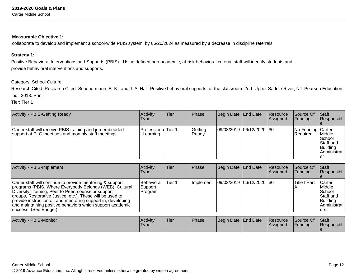### **Measurable Objective 1:**

collaborate to develop and implement a school-wide PBIS system by 06/20/2024 as measured by a decrease in discipline referrals.

## **Strategy 1:**

Positive Behavioral Interventions and Supports (PBIS) - Using defined non-academic, at-risk behavioral criteria, staff will identify students andprovide behavioral interventions and supports.

### Category: School Culture

Research Cited: Research Cited: Scheuermann, B. K., and J. A. Hall. Positive behavioral supports for the classroom. 2nd. Upper Saddle River, NJ: Pearson Education, Inc., 2013. Print

Tier: Tier 1

| <b>Activity - PBIS-Getting Ready</b>                                                                            | Activitv<br><b>Type</b>        | Tier | <b>Phase</b>      | Begin Date   End Date         | <b>IResource</b><br><b>Assigned</b> | <b>Source Of</b><br><b>Funding</b>    | <b>Staff</b><br>Responsibl                                        |
|-----------------------------------------------------------------------------------------------------------------|--------------------------------|------|-------------------|-------------------------------|-------------------------------------|---------------------------------------|-------------------------------------------------------------------|
| Carter staff will receive PBIS training and job-embedded<br>support at PLC meetings and monthly staff meetings. | Professiona Tier 1<br>Learning |      | Gettina<br> Ready | $ 09/03/2019 06/12/2020 $ \$0 |                                     | No Funding Carter<br><b>IRequired</b> | Middle<br><b>ISchool</b><br>Staff and<br>Building<br>IAdministrat |

| Activity - PBIS-Implement                                                                                                                                                                                                                                                                                                                                                                      | <b>Activity</b><br>Type          | Tier   | Phase       | Begin Date   End Date |                             | Resource<br>Assigned | Source Of<br> Funding | <b>Staff</b><br>Responsibl                                                   |
|------------------------------------------------------------------------------------------------------------------------------------------------------------------------------------------------------------------------------------------------------------------------------------------------------------------------------------------------------------------------------------------------|----------------------------------|--------|-------------|-----------------------|-----------------------------|----------------------|-----------------------|------------------------------------------------------------------------------|
| Carter staff will continue to provide mentoring & support<br>programs (PBIS, Where Everybody Belongs (WEB), Cultural<br>Diversity Training, Peer to Peer, counselor support<br>groups, Restorative Justice, etc.). These will be used to<br>provide instruction of, and mentoring support in, developing<br>and maintaining positive behaviors which support academic<br>success. (See Budget) | Behavioral<br>Support<br>Program | Tier 1 | l Implement |                       | 09/03/2019  06/12/2020  \$0 |                      | Title I Part          | Carter<br>Middle<br> School<br>Staff and<br>Building<br>Administrat<br>lors. |

| / - PBIS-Monitor<br><b>Activity</b><br>Begin Date End Date<br><b>Phase</b><br>Activity<br>'Tier<br>Resource<br>'Type<br><b>Assigned</b> | Source Of<br><b>IFunding</b> | <b>Staff</b><br>Responsibl |
|-----------------------------------------------------------------------------------------------------------------------------------------|------------------------------|----------------------------|
|-----------------------------------------------------------------------------------------------------------------------------------------|------------------------------|----------------------------|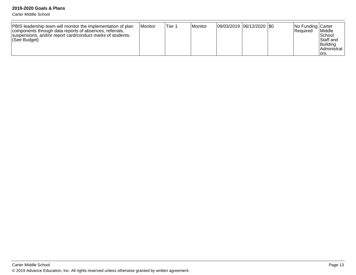Carter Middle School

| PBIS leadership team will monitor the implementation of plan<br>components through data reports of absences, referrals,<br>suspensions, and/or report card/conduct marks of students.<br><i><b>See Budget</b></i> | l Monitor | Tier 1 | l Monitor | 09/03/2019  06/12/2020  \$0 |  |  | <b>No Funding Carter</b><br><b>Required</b> | Middle<br>l School<br><b>Staff</b> and<br>Building<br><b>IAdministrat</b><br>lors. |
|-------------------------------------------------------------------------------------------------------------------------------------------------------------------------------------------------------------------|-----------|--------|-----------|-----------------------------|--|--|---------------------------------------------|------------------------------------------------------------------------------------|
|-------------------------------------------------------------------------------------------------------------------------------------------------------------------------------------------------------------------|-----------|--------|-----------|-----------------------------|--|--|---------------------------------------------|------------------------------------------------------------------------------------|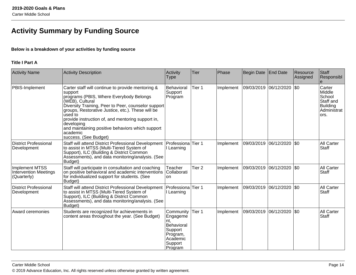# **Activity Summary by Funding Source**

# **Below is a breakdown of your activities by funding source**

## **Title I Part A**

| <b>Activity Name</b>                                                 | <b>Activity Description</b>                                                                                                                                                                                                                                                                                                                                                                                   | Activity<br><b>Type</b>                                                                             | <b>Tier</b>       | Phase     | Begin Date | <b>End Date</b>            | Resource<br>Assigned | <b>Staff</b><br>Responsibl                                                 |
|----------------------------------------------------------------------|---------------------------------------------------------------------------------------------------------------------------------------------------------------------------------------------------------------------------------------------------------------------------------------------------------------------------------------------------------------------------------------------------------------|-----------------------------------------------------------------------------------------------------|-------------------|-----------|------------|----------------------------|----------------------|----------------------------------------------------------------------------|
| PBIS-Implement                                                       | Carter staff will continue to provide mentoring &<br>support<br>programs (PBIS, Where Everybody Belongs<br>(WEB), Cultural<br>Diversity Training, Peer to Peer, counselor support<br>groups, Restorative Justice, etc.). These will be<br>used to<br>provide instruction of, and mentoring support in,<br>developing<br>and maintaining positive behaviors which support<br>academic<br>success. (See Budget) | Behavioral<br>Support<br>Program                                                                    | Tier 1            | Implement |            | 09/03/2019 06/12/2020      | \$0                  | Carter<br>Middle<br>School<br>Staff and<br>Building<br>Administrat<br>ors. |
| <b>District Professional</b><br>Development                          | Staff will attend District Professional Development<br>to assist in MTSS (Multi-Tiered System of<br>Support), ILC (Building & District Common<br>Assessments), and data monitoring/analysis. (See<br>Budget)                                                                                                                                                                                                  | Professiona Tier 1<br>I Learning                                                                    |                   | Implement |            | 09/03/2019 06/12/2020 \$0  |                      | <b>All Carter</b><br><b>Staff</b>                                          |
| <b>Implement MTSS</b><br><b>Intervention Meetings</b><br>(Quarterly) | Staff will participate in consultation and coaching<br>on positive behavioral and academic interventions<br>for individualized support for students. (See<br>Budget)                                                                                                                                                                                                                                          | Teacher<br>Collaborati<br>lon                                                                       | Tier <sub>2</sub> | Implement |            | 09/03/2019 06/12/2020  \$0 |                      | <b>All Carter</b><br>Staff                                                 |
| <b>District Professional</b><br>Development                          | Staff will attend District Professional Development<br>to assist in MTSS (Multi-Tiered System of<br>Support), ILC (Building & District Common<br>Assessments), and data monitoring/analysis. (See<br>Budget)                                                                                                                                                                                                  | Professiona Tier 1<br>I Learning                                                                    |                   | Implement |            | 09/03/2019 06/12/2020 \$0  |                      | <b>All Carter</b><br><b>Staff</b>                                          |
| Award ceremonies                                                     | Students are recognized for achievements in<br>content areas throughout the year. (See Budget)                                                                                                                                                                                                                                                                                                                | Community<br>Engageme<br>nt.<br>Behavioral<br>Support<br>Program,<br>Academic<br>Support<br>Program | Tier 1            | Implement |            | 09/03/2019 06/12/2020 \$0  |                      | <b>All Carter</b><br><b>Staff</b>                                          |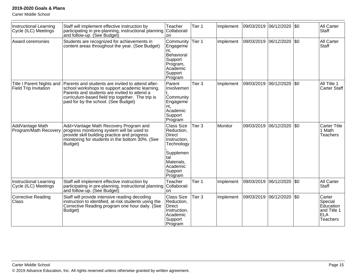Carter Middle School

| Instructional Learning<br>Cycle (ILC) Meetings     | Staff will implement effective instruction by<br>participating in pre-planning, instructional planning<br>and follow-up. (See Budget)                                                                                                            | Teacher<br>Collaborati<br>on                                                                                                                       | Tier 1            | Implement | 09/03/2019 | 06/12/2020 \\$0  |         | <b>All Carter</b><br><b>Staff</b>                                       |
|----------------------------------------------------|--------------------------------------------------------------------------------------------------------------------------------------------------------------------------------------------------------------------------------------------------|----------------------------------------------------------------------------------------------------------------------------------------------------|-------------------|-----------|------------|------------------|---------|-------------------------------------------------------------------------|
| Award ceremonies                                   | Students are recognized for achievements in<br>content areas throughout the year. (See Budget)                                                                                                                                                   | Community<br>Engageme<br>nt.<br>Behavioral<br>Support<br>Program,<br>Academic<br>Support<br>Program                                                | Tier 1            | Implement | 09/03/2019 | 06/12/2020 \$0   |         | <b>All Carter</b><br><b>Staff</b>                                       |
| Title I Parent Nights and<br>Field Trip Invitation | Parents and students are invited to attend after-<br>school workshops to support academic learning.<br>Parents and students are invited to attend a<br>curriculum-based field trip together. The trip is<br>paid for by the school. (See Budget) | Parent<br>Involvemen<br>Community<br>Engageme<br>nt.<br>Academic<br>Support<br>Program                                                             | Tier 3            | Implement | 09/03/2019 | 06/12/2020 \$0   |         | All Title 1<br>Carter Staff                                             |
| AddVantage Math<br>Program/Math Recovery           | Add+Vantage Math Recovery Program and<br>progress monitoring system will be used to<br>provide skill building practice and progress<br>monitoring for students in the bottom 30%. (See<br>Budget)                                                | <b>Class Size</b><br>Reduction,<br><b>Direct</b><br>Instruction,<br>Technology<br>Supplemen<br>tal<br>Materials,<br>Academic<br>Support<br>Program | Tier <sub>3</sub> | Monitor   | 09/03/2019 | 06/12/2020       | $ $ \$0 | <b>Carter Title</b><br>1 Math<br><b>Teachers</b>                        |
| Instructional Learning<br>Cycle (ILC) Meetings     | Staff will implement effective instruction by<br>participating in pre-planning, instructional planning<br>and follow-up. (See Budget)                                                                                                            | Teacher<br>Collaborati<br>on                                                                                                                       | Tier 1            | Implement | 09/03/2019 | 06/12/2020   \$0 |         | <b>All Carter</b><br><b>Staff</b>                                       |
| Corrective Reading<br>Class                        | Staff will provide intensive reading decoding<br>instruction to identified, at-risk students using the<br>Corrective Reading program one hour daily. (See<br>Budget)                                                                             | <b>Class Size</b><br>Reduction,<br><b>Direct</b><br>Instruction,<br>Academic<br>Support<br>Program                                                 | Tier 3            | Implement | 09/03/2019 | 06/12/2020 \$0   |         | Carter<br>Special<br>Education<br>and Title 1<br>ELA<br><b>Teachers</b> |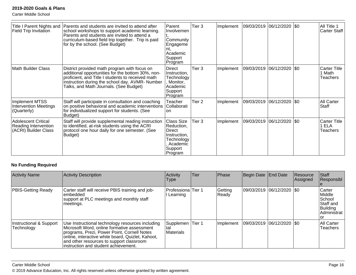Carter Middle School

| Title I Parent Nights and<br>Field Trip Invitation                         | Parents and students are invited to attend after<br>school workshops to support academic learning.<br>Parents and students are invited to attend a<br>curriculum-based field trip together. Trip is paid<br>for by the school. (See Budget)        | Parent<br>Involvemen<br>Community<br>Engageme<br>nt.<br>Academic<br>Support<br>Program             | Tier 3            | Implement | 09/03/2019 06/12/2020 \$0 |                    | All Title 1<br>Carter Staff               |
|----------------------------------------------------------------------------|----------------------------------------------------------------------------------------------------------------------------------------------------------------------------------------------------------------------------------------------------|----------------------------------------------------------------------------------------------------|-------------------|-----------|---------------------------|--------------------|-------------------------------------------|
| <b>Math Builder Class</b>                                                  | District provided math program with focus on<br>additional opportunities for the bottom 30%, non-<br>proficient, and Title I students to received math<br>instruction during the school day. AVMR-Number<br>Talks, and Math Journals. (See Budget) | Direct<br>Instruction,<br>Technology<br>Monitor,<br>Academic<br>Support<br>Program                 | Tier 3            | Implement | 09/03/2019                | 06/12/2020 \\$0    | <b>Carter Title</b><br>1 Math<br>Teachers |
| <b>Implement MTSS</b><br><b>Intervention Meetings</b><br>(Quarterly)       | Staff will participate in consultation and coaching<br>on positive behavioral and academic interventions<br>for individualized support for students. (See<br>Budget)                                                                               | Teacher<br>Collaborati<br>lon                                                                      | Tier <sub>2</sub> | Implement | 09/03/2019                | $ 06/12/2020 $ \$0 | <b>All Carter</b><br>Staff                |
| <b>Adolescent Critical</b><br>Reading Intervention<br>(ACRI) Builder Class | Staff will provide supplemental reading instruction<br>to identified, at-risk students using the ACRI<br>protocol one hour daily for one semester. (See<br>Budget)                                                                                 | Class Size<br>Reduction,<br>Direct<br>Instruction,<br>Technology<br>Academic<br>Support<br>Program | Tier 3            | Implement | 09/03/2019                | $ 06/12/2020 $ \$0 | <b>Carter Title</b><br>1 ELA<br>Teachers  |

# **No Funding Required**

| <b>Activity Name</b>                  | Activity Description                                                                                                                                                                                                                                                                    | Activity<br>Type                     | Tier   | Phase            | Begin Date End Date         | Resource<br>Assigned | Staff<br>Responsibl                                                      |
|---------------------------------------|-----------------------------------------------------------------------------------------------------------------------------------------------------------------------------------------------------------------------------------------------------------------------------------------|--------------------------------------|--------|------------------|-----------------------------|----------------------|--------------------------------------------------------------------------|
| <b>PBIS-Getting Ready</b>             | Carter staff will receive PBIS training and job-<br>lembedded<br>support at PLC meetings and monthly staff<br> meetings.                                                                                                                                                                | Professiona Tier 1<br>Learning       |        | Getting<br>Ready | 09/03/2019 06/12/2020 \$0   |                      | Carter<br>Middle<br>School<br>Staff and<br>Building<br>Administrat<br>Ωľ |
| Instructional & Support<br>Technology | Use Instructional technology resources including<br>Microsoft Word, online formative assessment<br>programs, Prezi, Power Point, Cornell Notes<br>online, interactive white board, Quizlet, Kahoot,<br>and other resources to support classroom<br>instruction and student achievement. | Supplemen<br>tal<br><b>Materials</b> | Tier 1 | Implement        | 09/03/2019  06/12/2020  \$0 |                      | <b>All Carter</b><br><b>Teachers</b>                                     |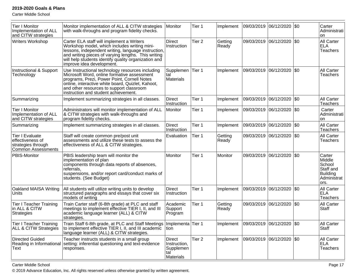Carter Middle School

| <b>Tier I Monitor</b><br>Implementation of ALL<br>and CITW strategies                         | Monitor implementation of ALL & CITW strategies<br>with walk-throughs and program fidelity checks.                                                                                                                                                                                           | Monitor                                                        | Tier 1            | Implement        | 09/03/2019 06/12/2020 |                                     | <b>SO</b> | Carter<br>Administrati<br><b>on</b>                                               |
|-----------------------------------------------------------------------------------------------|----------------------------------------------------------------------------------------------------------------------------------------------------------------------------------------------------------------------------------------------------------------------------------------------|----------------------------------------------------------------|-------------------|------------------|-----------------------|-------------------------------------|-----------|-----------------------------------------------------------------------------------|
| <b>Writers Workshop</b>                                                                       | Carter ELA staff will implement a Writers<br>Workshop model, which includes writing mini-<br>lessons, independent writing, language instruction,<br>and writing pieces of varying lengths. This writing<br>will help students identify quality organization and<br>improve idea development. | <b>Direct</b><br>Instruction                                   | Tier <sub>2</sub> | Getting<br>Ready |                       | 09/03/2019 06/12/2020 \$0           |           | All Carter<br><b>ELA</b><br><b>Teachers</b>                                       |
| Instructional & Support<br>Technology                                                         | Use Instructional technology resources including<br>Microsoft Word, online formative assessment<br>programs, Prezi, Power Point, Cornell Notes<br>online, interactive white board, Quizlet, Kahoot,<br>and other resources to support classroom<br>instruction and student achievement.      | Supplemen<br>tal<br>Materials                                  | Tier 1            | Implement        | 09/03/2019            | 06/12/2020                          | \$0       | All Carter<br><b>Teachers</b>                                                     |
| Summarizing                                                                                   | Implement summarizing strategies in all classes.                                                                                                                                                                                                                                             | <b>Direct</b><br>Instruction                                   | Tier 1            | Implement        | 09/03/2019 06/12/2020 |                                     | \$0       | All Carter<br><b>Teachers</b>                                                     |
| <b>Tier I Monitor</b><br>Implementation of ALL<br>and CITW strategies                         | Administrators will monitor implementation of ALL<br>& CITW strategies with walk-throughs and<br>program fidelity checks.                                                                                                                                                                    | Monitor                                                        | Tier 1            | Implement        | 09/03/2019 06/12/2020 |                                     | <b>SO</b> | Carter<br>Administrati<br>on                                                      |
| Summarizing                                                                                   | Implement summarizing strategies in all classes.                                                                                                                                                                                                                                             | <b>Direct</b><br>Instruction                                   | Tier 1            | Implement        | 09/03/2019 06/12/2020 |                                     | I\$0      | All Carter<br><b>Teachers</b>                                                     |
| <b>Tier I Evaluate</b><br>effectiveness of<br>strategies through<br><b>Common Assessments</b> | Staff will create common pre/post unit<br>assessments and utilize these tests to assess the<br>effectiveness of ALL & CITW strategies.                                                                                                                                                       | Evaluation                                                     | Tier 1            | Getting<br>Ready |                       | 09/03/2019 06/12/2020 \$0           |           | <b>All Carter</b><br><b>Teachers</b>                                              |
| PBIS-Monitor                                                                                  | PBIS leadership team will monitor the<br>implementation of plan<br>components through data reports of absences,<br>referrals,<br>suspensions, and/or report card/conduct marks of<br>students. (See Budget)                                                                                  | Monitor                                                        | Tier 1            | <b>Monitor</b>   | 09/03/2019 06/12/2020 |                                     | <b>SO</b> | Carter<br>Middle<br>School<br>Staff and<br><b>Building</b><br>Administrat<br>ors. |
| Oakland MAISA Writing<br>Units                                                                | All students will utilize writing units to develop<br>structured paragraphs and essays that cover six<br>models of writing                                                                                                                                                                   | <b>Direct</b><br>Instruction                                   | Tier 1            | Implement        | 09/03/2019            | 06/12/2020                          | \$0       | All Carter<br><b>ELA</b><br><b>Teachers</b>                                       |
| <b>Tier I Teacher Training</b><br>in ALL & CITW<br><b>Strategies</b>                          | Train Carter staff (6-8th grade) at PLC and staff<br>meetings to implement effective TIER I, II, and III<br>academic language learner (ALL) & CITW<br>strategies.                                                                                                                            | Academic<br>Support<br>Program                                 | Tier 1            | Getting<br>Ready | 09/03/2019 06/12/2020 |                                     | \$0       | All Carter<br><b>Staff</b>                                                        |
| <b>Tier I Teacher Training</b><br><b>ALL &amp; CITW Strategies</b>                            | Train Staff 6-8th grade, at PLC and Staff Meetings<br>to implement effective TIER I, II, and III academic<br>language learner (ALL) & CITW strategies.                                                                                                                                       | Implementa Tier 1<br>Ition                                     |                   |                  |                       | Implement 09/03/2019 06/12/2020 \$0 |           | All Carter<br>Staff                                                               |
| <b>Directed Guided</b><br>Reading in Informational<br>Text                                    | Teacher instructs students in a small group<br>setting: inferential questioning and text-evidence<br>responses.                                                                                                                                                                              | <b>Direct</b><br>Instruction,<br>Supplemen<br>tal<br>Materials | Tier 2            | Implement        |                       | 09/03/2019 06/12/2020 50            |           | All Carter<br><b>ELA</b><br><b>Teachers</b>                                       |

Carter Middle School